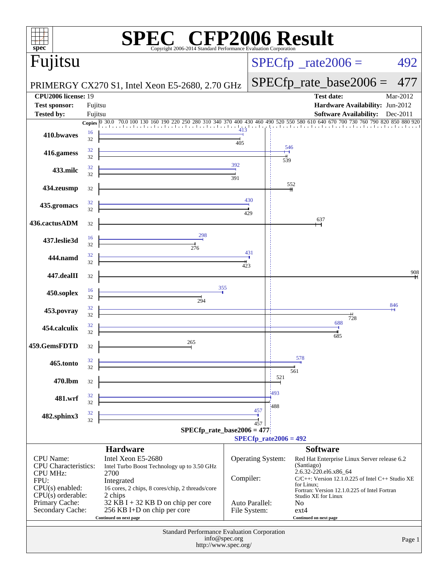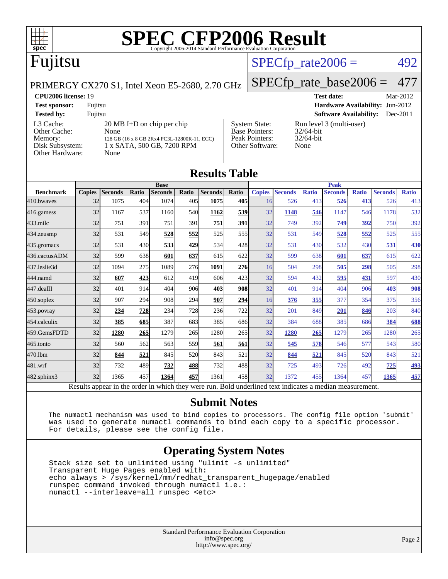

## Fujitsu

#### $SPECTp_rate2006 = 492$

[System State:](http://www.spec.org/auto/cpu2006/Docs/result-fields.html#SystemState) Run level 3 (multi-user)<br>Base Pointers: 32/64-bit

PRIMERGY CX270 S1, Intel Xeon E5-2680, 2.70 GHz

#### [SPECfp\\_rate\\_base2006 =](http://www.spec.org/auto/cpu2006/Docs/result-fields.html#SPECfpratebase2006) 477

**[Benchmark](http://www.spec.org/auto/cpu2006/Docs/result-fields.html#Benchmark) [Copies](http://www.spec.org/auto/cpu2006/Docs/result-fields.html#Copies)** 

**[CPU2006 license:](http://www.spec.org/auto/cpu2006/Docs/result-fields.html#CPU2006license)** 19 **[Test date:](http://www.spec.org/auto/cpu2006/Docs/result-fields.html#Testdate)** Mar-2012 **[Test sponsor:](http://www.spec.org/auto/cpu2006/Docs/result-fields.html#Testsponsor)** Fujitsu **[Hardware Availability:](http://www.spec.org/auto/cpu2006/Docs/result-fields.html#HardwareAvailability)** Jun-2012 **[Tested by:](http://www.spec.org/auto/cpu2006/Docs/result-fields.html#Testedby)** Fujitsu **[Software Availability:](http://www.spec.org/auto/cpu2006/Docs/result-fields.html#SoftwareAvailability)** Dec-2011

[L3 Cache:](http://www.spec.org/auto/cpu2006/Docs/result-fields.html#L3Cache) 20 MB I+D on chip per chip<br>Other Cache: None [Other Cache:](http://www.spec.org/auto/cpu2006/Docs/result-fields.html#OtherCache) [Memory:](http://www.spec.org/auto/cpu2006/Docs/result-fields.html#Memory) [Disk Subsystem:](http://www.spec.org/auto/cpu2006/Docs/result-fields.html#DiskSubsystem) [Other Hardware:](http://www.spec.org/auto/cpu2006/Docs/result-fields.html#OtherHardware)

| None                 |              | 128 GB (16 x 8 GB 2Rx4 PC3L-12800R-11, ECC)<br>1 x SATA, 500 GB, 7200 RPM |              |                      |                  | Peak Pointers:<br>Other Software: |                | $32/64$ -bit<br>None |                |              |                |              |
|----------------------|--------------|---------------------------------------------------------------------------|--------------|----------------------|------------------|-----------------------------------|----------------|----------------------|----------------|--------------|----------------|--------------|
|                      |              |                                                                           |              | <b>Results Table</b> |                  |                                   |                |                      |                |              |                |              |
|                      |              | <b>Base</b>                                                               |              |                      |                  |                                   |                |                      | <b>Peak</b>    |              |                |              |
| Seconds <sup>1</sup> | <b>Ratio</b> | <b>Seconds</b>                                                            | <b>Ratio</b> | <b>Seconds</b>       | Ratio            | <b>Copies</b>                     | <b>Seconds</b> | <b>Ratio</b>         | <b>Seconds</b> | <b>Ratio</b> | <b>Seconds</b> | <b>Ratio</b> |
| 1075                 | 404          | 1074                                                                      | 405          | 1075                 | 405              | 16                                | 526            | 413                  | 526            | 413          | 526            | 4            |
| 1167                 | 537          | 1160                                                                      | 540          | 1162                 | 539              | 32                                | 1148           | 546                  | 1147           | 546          | 1178           | 53           |
| 751                  | 391          | 751                                                                       | 391          | 751                  | <b>391</b>       | 32                                | 749            | 392                  | 749            | 392          | 750            | 39           |
| 531                  | 549          | 528                                                                       | 552          | 525                  | 555 <sup>I</sup> | 32                                | 531            | 549                  | 528            | 552          | 525            | 55           |
|                      |              |                                                                           |              |                      |                  |                                   |                |                      |                |              |                |              |

[Base Pointers:](http://www.spec.org/auto/cpu2006/Docs/result-fields.html#BasePointers)

| 410.bwayes    | 32 | 1075 | 404 | 1074 | 405I | 1075 | 405              | 16 | 526                                                                                                      | 413 | 526  | 413         | 526  | 413        |
|---------------|----|------|-----|------|------|------|------------------|----|----------------------------------------------------------------------------------------------------------|-----|------|-------------|------|------------|
| 416.gamess    | 32 | 1167 | 537 | 1160 | 540l | 1162 | 539              | 32 | 1148                                                                                                     | 546 | 1147 | 546         | 1178 | 532        |
| $433$ .milc   | 32 | 751  | 391 | 751  | 391  | 751  | 391              | 32 | 749                                                                                                      | 392 | 749  | 392         | 750  | 392        |
| 434.zeusmp    | 32 | 531  | 549 | 528  | 552  | 525  | 555 <sub>I</sub> | 32 | 531                                                                                                      | 549 | 528  | 552         | 525  | 555        |
| 435.gromacs   | 32 | 531  | 430 | 533  | 429  | 534  | 428              | 32 | 531                                                                                                      | 430 | 532  | 430         | 531  | 430        |
| 436.cactusADM | 32 | 599  | 638 | 601  | 637  | 615  | 622              | 32 | 599                                                                                                      | 638 | 601  | 637         | 615  | 622        |
| 437.leslie3d  | 32 | 1094 | 275 | 1089 | 276  | 1091 | 276              | 16 | 504                                                                                                      | 298 | 505  | <u> 298</u> | 505  | 298        |
| 444.namd      | 32 | 607  | 423 | 612  | 419  | 606  | 423              | 32 | 594                                                                                                      | 432 | 595  | 431         | 597  | 430        |
| 447.dealII    | 32 | 401  | 914 | 404  | 906  | 403  | <b>908</b>       | 32 | 401                                                                                                      | 914 | 404  | 906         | 403  | 908        |
| 450.soplex    | 32 | 907  | 294 | 908  | 294  | 907  | 294              | 16 | 376                                                                                                      | 355 | 377  | 354         | 375  | 356        |
| 453.povray    | 32 | 234  | 728 | 234  | 728  | 236  | 722              | 32 | 201                                                                                                      | 849 | 201  | 846         | 203  | 840        |
| 454.calculix  | 32 | 385  | 685 | 387  | 683  | 385  | 686              | 32 | 384                                                                                                      | 688 | 385  | 686         | 384  | 688        |
| 459.GemsFDTD  | 32 | 1280 | 265 | 1279 | 265  | 1280 | 265              | 32 | 1280                                                                                                     | 265 | 1279 | 265         | 1280 | 265        |
| 465.tonto     | 32 | 560  | 562 | 563  | 559  | 561  | 561              | 32 | 545                                                                                                      | 578 | 546  | 577         | 543  | 580        |
| 470.1bm       | 32 | 844  | 521 | 845  | 520  | 843  | 521              | 32 | 844                                                                                                      | 521 | 845  | 520         | 843  | 521        |
| 481.wrf       | 32 | 732  | 489 | 732  | 488  | 732  | 488              | 32 | 725                                                                                                      | 493 | 726  | 492         | 725  | <u>493</u> |
| 482.sphinx3   | 32 | 1365 | 457 | 1364 | 457  | 1361 | 458              | 32 | 1372                                                                                                     | 455 | 1364 | 457         | 1365 | 457        |
|               |    |      |     |      |      |      |                  |    | Results appear in the order in which they were run. Bold underlined text indicates a median measurement. |     |      |             |      |            |

#### **[Submit Notes](http://www.spec.org/auto/cpu2006/Docs/result-fields.html#SubmitNotes)**

 The numactl mechanism was used to bind copies to processors. The config file option 'submit' was used to generate numactl commands to bind each copy to a specific processor. For details, please see the config file.

#### **[Operating System Notes](http://www.spec.org/auto/cpu2006/Docs/result-fields.html#OperatingSystemNotes)**

 Stack size set to unlimited using "ulimit -s unlimited" Transparent Huge Pages enabled with: echo always > /sys/kernel/mm/redhat\_transparent\_hugepage/enabled runspec command invoked through numactl i.e.: numactl --interleave=all runspec <etc>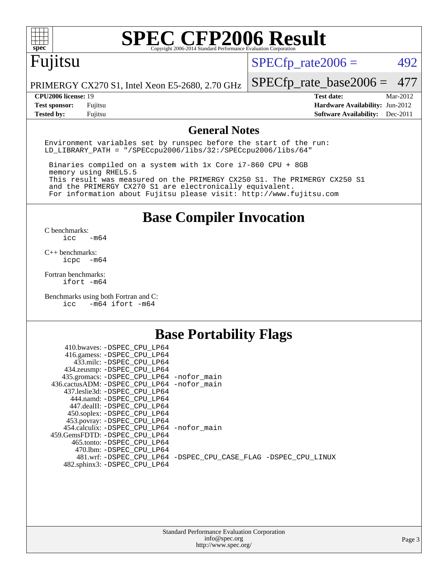

### Fujitsu

 $SPECTp_rate2006 = 492$ 

PRIMERGY CX270 S1, Intel Xeon E5-2680, 2.70 GHz

[SPECfp\\_rate\\_base2006 =](http://www.spec.org/auto/cpu2006/Docs/result-fields.html#SPECfpratebase2006) 477

**[CPU2006 license:](http://www.spec.org/auto/cpu2006/Docs/result-fields.html#CPU2006license)** 19 **[Test date:](http://www.spec.org/auto/cpu2006/Docs/result-fields.html#Testdate)** Mar-2012 **[Test sponsor:](http://www.spec.org/auto/cpu2006/Docs/result-fields.html#Testsponsor)** Fujitsu **[Hardware Availability:](http://www.spec.org/auto/cpu2006/Docs/result-fields.html#HardwareAvailability)** Jun-2012 **[Tested by:](http://www.spec.org/auto/cpu2006/Docs/result-fields.html#Testedby)** Fujitsu **[Software Availability:](http://www.spec.org/auto/cpu2006/Docs/result-fields.html#SoftwareAvailability)** Dec-2011

#### **[General Notes](http://www.spec.org/auto/cpu2006/Docs/result-fields.html#GeneralNotes)**

Environment variables set by runspec before the start of the run: LD\_LIBRARY\_PATH = "/SPECcpu2006/libs/32:/SPECcpu2006/libs/64"

 Binaries compiled on a system with 1x Core i7-860 CPU + 8GB memory using RHEL5.5 This result was measured on the PRIMERGY CX250 S1. The PRIMERGY CX250 S1 and the PRIMERGY CX270 S1 are electronically equivalent. For information about Fujitsu please visit: <http://www.fujitsu.com>

**[Base Compiler Invocation](http://www.spec.org/auto/cpu2006/Docs/result-fields.html#BaseCompilerInvocation)**

 $C$  benchmarks:<br>icc  $-m64$ 

[C++ benchmarks:](http://www.spec.org/auto/cpu2006/Docs/result-fields.html#CXXbenchmarks) [icpc -m64](http://www.spec.org/cpu2006/results/res2012q3/cpu2006-20120620-23122.flags.html#user_CXXbase_intel_icpc_64bit_bedb90c1146cab66620883ef4f41a67e)

[Fortran benchmarks](http://www.spec.org/auto/cpu2006/Docs/result-fields.html#Fortranbenchmarks): [ifort -m64](http://www.spec.org/cpu2006/results/res2012q3/cpu2006-20120620-23122.flags.html#user_FCbase_intel_ifort_64bit_ee9d0fb25645d0210d97eb0527dcc06e)

[Benchmarks using both Fortran and C](http://www.spec.org/auto/cpu2006/Docs/result-fields.html#BenchmarksusingbothFortranandC): [icc -m64](http://www.spec.org/cpu2006/results/res2012q3/cpu2006-20120620-23122.flags.html#user_CC_FCbase_intel_icc_64bit_0b7121f5ab7cfabee23d88897260401c) [ifort -m64](http://www.spec.org/cpu2006/results/res2012q3/cpu2006-20120620-23122.flags.html#user_CC_FCbase_intel_ifort_64bit_ee9d0fb25645d0210d97eb0527dcc06e)

#### **[Base Portability Flags](http://www.spec.org/auto/cpu2006/Docs/result-fields.html#BasePortabilityFlags)**

| 410.bwaves: -DSPEC CPU LP64                 |                                                                |
|---------------------------------------------|----------------------------------------------------------------|
| 416.gamess: -DSPEC_CPU_LP64                 |                                                                |
| 433.milc: -DSPEC CPU LP64                   |                                                                |
| 434.zeusmp: - DSPEC_CPU_LP64                |                                                                |
| 435.gromacs: -DSPEC_CPU_LP64 -nofor_main    |                                                                |
| 436.cactusADM: -DSPEC CPU LP64 -nofor main  |                                                                |
| 437.leslie3d: -DSPEC CPU LP64               |                                                                |
| 444.namd: -DSPEC CPU LP64                   |                                                                |
| 447.dealII: -DSPEC_CPU LP64                 |                                                                |
| 450.soplex: -DSPEC_CPU_LP64                 |                                                                |
| 453.povray: -DSPEC_CPU_LP64                 |                                                                |
| 454.calculix: - DSPEC CPU LP64 - nofor main |                                                                |
| 459. GemsFDTD: - DSPEC CPU LP64             |                                                                |
| 465.tonto: - DSPEC CPU LP64                 |                                                                |
| 470.1bm: - DSPEC_CPU LP64                   |                                                                |
|                                             | 481.wrf: -DSPEC CPU_LP64 -DSPEC_CPU_CASE_FLAG -DSPEC_CPU_LINUX |
| 482.sphinx3: -DSPEC_CPU_LP64                |                                                                |
|                                             |                                                                |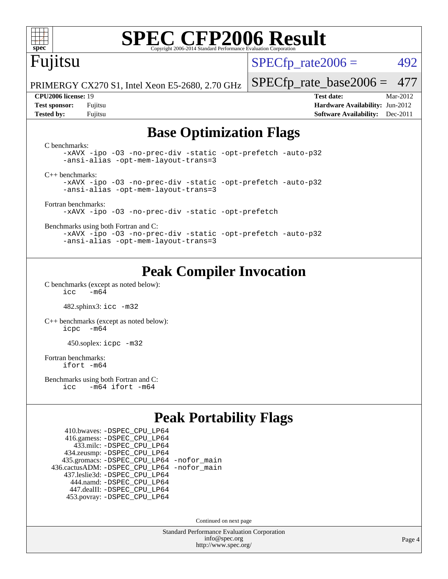

## Fujitsu

 $SPECTp\_rate2006 = 492$ 

PRIMERGY CX270 S1, Intel Xeon E5-2680, 2.70 GHz

[SPECfp\\_rate\\_base2006 =](http://www.spec.org/auto/cpu2006/Docs/result-fields.html#SPECfpratebase2006) 477

**[CPU2006 license:](http://www.spec.org/auto/cpu2006/Docs/result-fields.html#CPU2006license)** 19 **[Test date:](http://www.spec.org/auto/cpu2006/Docs/result-fields.html#Testdate)** Mar-2012 **[Test sponsor:](http://www.spec.org/auto/cpu2006/Docs/result-fields.html#Testsponsor)** Fujitsu **[Hardware Availability:](http://www.spec.org/auto/cpu2006/Docs/result-fields.html#HardwareAvailability)** Jun-2012 **[Tested by:](http://www.spec.org/auto/cpu2006/Docs/result-fields.html#Testedby)** Fujitsu **[Software Availability:](http://www.spec.org/auto/cpu2006/Docs/result-fields.html#SoftwareAvailability)** Dec-2011

#### **[Base Optimization Flags](http://www.spec.org/auto/cpu2006/Docs/result-fields.html#BaseOptimizationFlags)**

| C benchmarks:<br>-xAVX -ipo -03 -no-prec-div -static -opt-prefetch -auto-p32<br>-ansi-alias -opt-mem-layout-trans=3 |
|---------------------------------------------------------------------------------------------------------------------|
| $C_{++}$ benchmarks:                                                                                                |
| -xAVX -ipo -03 -no-prec-div -static -opt-prefetch -auto-p32                                                         |
| -ansi-alias -opt-mem-layout-trans=3                                                                                 |
|                                                                                                                     |
| Fortran benchmarks:                                                                                                 |
| -xAVX -ipo -03 -no-prec-div -static -opt-prefetch                                                                   |
|                                                                                                                     |
| Benchmarks using both Fortran and C:                                                                                |
| -xAVX -ipo -03 -no-prec-div -static -opt-prefetch -auto-p32                                                         |
| -ansi-alias -opt-mem-layout-trans=3                                                                                 |

#### **[Peak Compiler Invocation](http://www.spec.org/auto/cpu2006/Docs/result-fields.html#PeakCompilerInvocation)**

[C benchmarks \(except as noted below\)](http://www.spec.org/auto/cpu2006/Docs/result-fields.html#Cbenchmarksexceptasnotedbelow):  $\text{icc}$   $-\text{m64}$ 

482.sphinx3: [icc -m32](http://www.spec.org/cpu2006/results/res2012q3/cpu2006-20120620-23122.flags.html#user_peakCCLD482_sphinx3_intel_icc_a6a621f8d50482236b970c6ac5f55f93)

[C++ benchmarks \(except as noted below\):](http://www.spec.org/auto/cpu2006/Docs/result-fields.html#CXXbenchmarksexceptasnotedbelow) [icpc -m64](http://www.spec.org/cpu2006/results/res2012q3/cpu2006-20120620-23122.flags.html#user_CXXpeak_intel_icpc_64bit_bedb90c1146cab66620883ef4f41a67e)

450.soplex: [icpc -m32](http://www.spec.org/cpu2006/results/res2012q3/cpu2006-20120620-23122.flags.html#user_peakCXXLD450_soplex_intel_icpc_4e5a5ef1a53fd332b3c49e69c3330699)

[Fortran benchmarks](http://www.spec.org/auto/cpu2006/Docs/result-fields.html#Fortranbenchmarks): [ifort -m64](http://www.spec.org/cpu2006/results/res2012q3/cpu2006-20120620-23122.flags.html#user_FCpeak_intel_ifort_64bit_ee9d0fb25645d0210d97eb0527dcc06e)

[Benchmarks using both Fortran and C](http://www.spec.org/auto/cpu2006/Docs/result-fields.html#BenchmarksusingbothFortranandC): [icc -m64](http://www.spec.org/cpu2006/results/res2012q3/cpu2006-20120620-23122.flags.html#user_CC_FCpeak_intel_icc_64bit_0b7121f5ab7cfabee23d88897260401c) [ifort -m64](http://www.spec.org/cpu2006/results/res2012q3/cpu2006-20120620-23122.flags.html#user_CC_FCpeak_intel_ifort_64bit_ee9d0fb25645d0210d97eb0527dcc06e)

#### **[Peak Portability Flags](http://www.spec.org/auto/cpu2006/Docs/result-fields.html#PeakPortabilityFlags)**

 410.bwaves: [-DSPEC\\_CPU\\_LP64](http://www.spec.org/cpu2006/results/res2012q3/cpu2006-20120620-23122.flags.html#suite_peakPORTABILITY410_bwaves_DSPEC_CPU_LP64) 416.gamess: [-DSPEC\\_CPU\\_LP64](http://www.spec.org/cpu2006/results/res2012q3/cpu2006-20120620-23122.flags.html#suite_peakPORTABILITY416_gamess_DSPEC_CPU_LP64) 433.milc: [-DSPEC\\_CPU\\_LP64](http://www.spec.org/cpu2006/results/res2012q3/cpu2006-20120620-23122.flags.html#suite_peakPORTABILITY433_milc_DSPEC_CPU_LP64) 434.zeusmp: [-DSPEC\\_CPU\\_LP64](http://www.spec.org/cpu2006/results/res2012q3/cpu2006-20120620-23122.flags.html#suite_peakPORTABILITY434_zeusmp_DSPEC_CPU_LP64) 435.gromacs: [-DSPEC\\_CPU\\_LP64](http://www.spec.org/cpu2006/results/res2012q3/cpu2006-20120620-23122.flags.html#suite_peakPORTABILITY435_gromacs_DSPEC_CPU_LP64) [-nofor\\_main](http://www.spec.org/cpu2006/results/res2012q3/cpu2006-20120620-23122.flags.html#user_peakLDPORTABILITY435_gromacs_f-nofor_main) 436.cactusADM: [-DSPEC\\_CPU\\_LP64](http://www.spec.org/cpu2006/results/res2012q3/cpu2006-20120620-23122.flags.html#suite_peakPORTABILITY436_cactusADM_DSPEC_CPU_LP64) [-nofor\\_main](http://www.spec.org/cpu2006/results/res2012q3/cpu2006-20120620-23122.flags.html#user_peakLDPORTABILITY436_cactusADM_f-nofor_main) 437.leslie3d: [-DSPEC\\_CPU\\_LP64](http://www.spec.org/cpu2006/results/res2012q3/cpu2006-20120620-23122.flags.html#suite_peakPORTABILITY437_leslie3d_DSPEC_CPU_LP64) 444.namd: [-DSPEC\\_CPU\\_LP64](http://www.spec.org/cpu2006/results/res2012q3/cpu2006-20120620-23122.flags.html#suite_peakPORTABILITY444_namd_DSPEC_CPU_LP64) 447.dealII: [-DSPEC\\_CPU\\_LP64](http://www.spec.org/cpu2006/results/res2012q3/cpu2006-20120620-23122.flags.html#suite_peakPORTABILITY447_dealII_DSPEC_CPU_LP64) 453.povray: [-DSPEC\\_CPU\\_LP64](http://www.spec.org/cpu2006/results/res2012q3/cpu2006-20120620-23122.flags.html#suite_peakPORTABILITY453_povray_DSPEC_CPU_LP64)

Continued on next page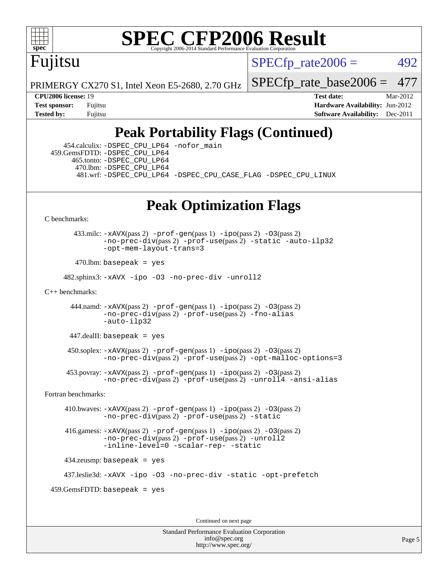

## Fujitsu

 $SPECTp\_rate2006 = 492$ 

PRIMERGY CX270 S1, Intel Xeon E5-2680, 2.70 GHz

[SPECfp\\_rate\\_base2006 =](http://www.spec.org/auto/cpu2006/Docs/result-fields.html#SPECfpratebase2006) 477

**[CPU2006 license:](http://www.spec.org/auto/cpu2006/Docs/result-fields.html#CPU2006license)** 19 **[Test date:](http://www.spec.org/auto/cpu2006/Docs/result-fields.html#Testdate)** Mar-2012 **[Test sponsor:](http://www.spec.org/auto/cpu2006/Docs/result-fields.html#Testsponsor)** Fujitsu **[Hardware Availability:](http://www.spec.org/auto/cpu2006/Docs/result-fields.html#HardwareAvailability)** Jun-2012 **[Tested by:](http://www.spec.org/auto/cpu2006/Docs/result-fields.html#Testedby)** Fujitsu **Fugital Example 2011 [Software Availability:](http://www.spec.org/auto/cpu2006/Docs/result-fields.html#SoftwareAvailability)** Dec-2011

### **[Peak Portability Flags \(Continued\)](http://www.spec.org/auto/cpu2006/Docs/result-fields.html#PeakPortabilityFlags)**

 454.calculix: [-DSPEC\\_CPU\\_LP64](http://www.spec.org/cpu2006/results/res2012q3/cpu2006-20120620-23122.flags.html#suite_peakPORTABILITY454_calculix_DSPEC_CPU_LP64) [-nofor\\_main](http://www.spec.org/cpu2006/results/res2012q3/cpu2006-20120620-23122.flags.html#user_peakLDPORTABILITY454_calculix_f-nofor_main) 459.GemsFDTD: [-DSPEC\\_CPU\\_LP64](http://www.spec.org/cpu2006/results/res2012q3/cpu2006-20120620-23122.flags.html#suite_peakPORTABILITY459_GemsFDTD_DSPEC_CPU_LP64) 465.tonto: [-DSPEC\\_CPU\\_LP64](http://www.spec.org/cpu2006/results/res2012q3/cpu2006-20120620-23122.flags.html#suite_peakPORTABILITY465_tonto_DSPEC_CPU_LP64) 470.lbm: [-DSPEC\\_CPU\\_LP64](http://www.spec.org/cpu2006/results/res2012q3/cpu2006-20120620-23122.flags.html#suite_peakPORTABILITY470_lbm_DSPEC_CPU_LP64) 481.wrf: [-DSPEC\\_CPU\\_LP64](http://www.spec.org/cpu2006/results/res2012q3/cpu2006-20120620-23122.flags.html#suite_peakPORTABILITY481_wrf_DSPEC_CPU_LP64) [-DSPEC\\_CPU\\_CASE\\_FLAG](http://www.spec.org/cpu2006/results/res2012q3/cpu2006-20120620-23122.flags.html#b481.wrf_peakCPORTABILITY_DSPEC_CPU_CASE_FLAG) [-DSPEC\\_CPU\\_LINUX](http://www.spec.org/cpu2006/results/res2012q3/cpu2006-20120620-23122.flags.html#b481.wrf_peakCPORTABILITY_DSPEC_CPU_LINUX)

#### **[Peak Optimization Flags](http://www.spec.org/auto/cpu2006/Docs/result-fields.html#PeakOptimizationFlags)**

[C benchmarks](http://www.spec.org/auto/cpu2006/Docs/result-fields.html#Cbenchmarks):

 433.milc: [-xAVX](http://www.spec.org/cpu2006/results/res2012q3/cpu2006-20120620-23122.flags.html#user_peakPASS2_CFLAGSPASS2_LDFLAGS433_milc_f-xAVX)(pass 2) [-prof-gen](http://www.spec.org/cpu2006/results/res2012q3/cpu2006-20120620-23122.flags.html#user_peakPASS1_CFLAGSPASS1_LDFLAGS433_milc_prof_gen_e43856698f6ca7b7e442dfd80e94a8fc)(pass 1) [-ipo](http://www.spec.org/cpu2006/results/res2012q3/cpu2006-20120620-23122.flags.html#user_peakPASS2_CFLAGSPASS2_LDFLAGS433_milc_f-ipo)(pass 2) [-O3](http://www.spec.org/cpu2006/results/res2012q3/cpu2006-20120620-23122.flags.html#user_peakPASS2_CFLAGSPASS2_LDFLAGS433_milc_f-O3)(pass 2) [-no-prec-div](http://www.spec.org/cpu2006/results/res2012q3/cpu2006-20120620-23122.flags.html#user_peakPASS2_CFLAGSPASS2_LDFLAGS433_milc_f-no-prec-div)(pass 2) [-prof-use](http://www.spec.org/cpu2006/results/res2012q3/cpu2006-20120620-23122.flags.html#user_peakPASS2_CFLAGSPASS2_LDFLAGS433_milc_prof_use_bccf7792157ff70d64e32fe3e1250b55)(pass 2) [-static](http://www.spec.org/cpu2006/results/res2012q3/cpu2006-20120620-23122.flags.html#user_peakOPTIMIZE433_milc_f-static) [-auto-ilp32](http://www.spec.org/cpu2006/results/res2012q3/cpu2006-20120620-23122.flags.html#user_peakCOPTIMIZE433_milc_f-auto-ilp32) [-opt-mem-layout-trans=3](http://www.spec.org/cpu2006/results/res2012q3/cpu2006-20120620-23122.flags.html#user_peakCOPTIMIZE433_milc_f-opt-mem-layout-trans_a7b82ad4bd7abf52556d4961a2ae94d5)

 $470.$ lbm: basepeak = yes

482.sphinx3: [-xAVX](http://www.spec.org/cpu2006/results/res2012q3/cpu2006-20120620-23122.flags.html#user_peakOPTIMIZE482_sphinx3_f-xAVX) [-ipo](http://www.spec.org/cpu2006/results/res2012q3/cpu2006-20120620-23122.flags.html#user_peakOPTIMIZE482_sphinx3_f-ipo) [-O3](http://www.spec.org/cpu2006/results/res2012q3/cpu2006-20120620-23122.flags.html#user_peakOPTIMIZE482_sphinx3_f-O3) [-no-prec-div](http://www.spec.org/cpu2006/results/res2012q3/cpu2006-20120620-23122.flags.html#user_peakOPTIMIZE482_sphinx3_f-no-prec-div) [-unroll2](http://www.spec.org/cpu2006/results/res2012q3/cpu2006-20120620-23122.flags.html#user_peakCOPTIMIZE482_sphinx3_f-unroll_784dae83bebfb236979b41d2422d7ec2)

[C++ benchmarks:](http://www.spec.org/auto/cpu2006/Docs/result-fields.html#CXXbenchmarks)

444.namd:  $-xAVX(pass 2)$  $-xAVX(pass 2)$  [-prof-gen](http://www.spec.org/cpu2006/results/res2012q3/cpu2006-20120620-23122.flags.html#user_peakPASS1_CXXFLAGSPASS1_LDFLAGS444_namd_prof_gen_e43856698f6ca7b7e442dfd80e94a8fc)(pass 1) [-ipo](http://www.spec.org/cpu2006/results/res2012q3/cpu2006-20120620-23122.flags.html#user_peakPASS2_CXXFLAGSPASS2_LDFLAGS444_namd_f-ipo)(pass 2) [-O3](http://www.spec.org/cpu2006/results/res2012q3/cpu2006-20120620-23122.flags.html#user_peakPASS2_CXXFLAGSPASS2_LDFLAGS444_namd_f-O3)(pass 2) [-no-prec-div](http://www.spec.org/cpu2006/results/res2012q3/cpu2006-20120620-23122.flags.html#user_peakPASS2_CXXFLAGSPASS2_LDFLAGS444_namd_f-no-prec-div)(pass 2) [-prof-use](http://www.spec.org/cpu2006/results/res2012q3/cpu2006-20120620-23122.flags.html#user_peakPASS2_CXXFLAGSPASS2_LDFLAGS444_namd_prof_use_bccf7792157ff70d64e32fe3e1250b55)(pass 2) [-fno-alias](http://www.spec.org/cpu2006/results/res2012q3/cpu2006-20120620-23122.flags.html#user_peakCXXOPTIMIZE444_namd_f-no-alias_694e77f6c5a51e658e82ccff53a9e63a) [-auto-ilp32](http://www.spec.org/cpu2006/results/res2012q3/cpu2006-20120620-23122.flags.html#user_peakCXXOPTIMIZE444_namd_f-auto-ilp32)

 $447$ .dealII: basepeak = yes

 $450$ .soplex:  $-x$ AVX(pass 2)  $-p$ rof-gen(pass 1)  $-i$ po(pass 2)  $-03$ (pass 2) [-no-prec-div](http://www.spec.org/cpu2006/results/res2012q3/cpu2006-20120620-23122.flags.html#user_peakPASS2_CXXFLAGSPASS2_LDFLAGS450_soplex_f-no-prec-div)(pass 2) [-prof-use](http://www.spec.org/cpu2006/results/res2012q3/cpu2006-20120620-23122.flags.html#user_peakPASS2_CXXFLAGSPASS2_LDFLAGS450_soplex_prof_use_bccf7792157ff70d64e32fe3e1250b55)(pass 2) [-opt-malloc-options=3](http://www.spec.org/cpu2006/results/res2012q3/cpu2006-20120620-23122.flags.html#user_peakOPTIMIZE450_soplex_f-opt-malloc-options_13ab9b803cf986b4ee62f0a5998c2238)

 453.povray: [-xAVX](http://www.spec.org/cpu2006/results/res2012q3/cpu2006-20120620-23122.flags.html#user_peakPASS2_CXXFLAGSPASS2_LDFLAGS453_povray_f-xAVX)(pass 2) [-prof-gen](http://www.spec.org/cpu2006/results/res2012q3/cpu2006-20120620-23122.flags.html#user_peakPASS1_CXXFLAGSPASS1_LDFLAGS453_povray_prof_gen_e43856698f6ca7b7e442dfd80e94a8fc)(pass 1) [-ipo](http://www.spec.org/cpu2006/results/res2012q3/cpu2006-20120620-23122.flags.html#user_peakPASS2_CXXFLAGSPASS2_LDFLAGS453_povray_f-ipo)(pass 2) [-O3](http://www.spec.org/cpu2006/results/res2012q3/cpu2006-20120620-23122.flags.html#user_peakPASS2_CXXFLAGSPASS2_LDFLAGS453_povray_f-O3)(pass 2) [-no-prec-div](http://www.spec.org/cpu2006/results/res2012q3/cpu2006-20120620-23122.flags.html#user_peakPASS2_CXXFLAGSPASS2_LDFLAGS453_povray_f-no-prec-div)(pass 2) [-prof-use](http://www.spec.org/cpu2006/results/res2012q3/cpu2006-20120620-23122.flags.html#user_peakPASS2_CXXFLAGSPASS2_LDFLAGS453_povray_prof_use_bccf7792157ff70d64e32fe3e1250b55)(pass 2) [-unroll4](http://www.spec.org/cpu2006/results/res2012q3/cpu2006-20120620-23122.flags.html#user_peakCXXOPTIMIZE453_povray_f-unroll_4e5e4ed65b7fd20bdcd365bec371b81f) [-ansi-alias](http://www.spec.org/cpu2006/results/res2012q3/cpu2006-20120620-23122.flags.html#user_peakCXXOPTIMIZE453_povray_f-ansi-alias)

[Fortran benchmarks](http://www.spec.org/auto/cpu2006/Docs/result-fields.html#Fortranbenchmarks):

 410.bwaves: [-xAVX](http://www.spec.org/cpu2006/results/res2012q3/cpu2006-20120620-23122.flags.html#user_peakPASS2_FFLAGSPASS2_LDFLAGS410_bwaves_f-xAVX)(pass 2) [-prof-gen](http://www.spec.org/cpu2006/results/res2012q3/cpu2006-20120620-23122.flags.html#user_peakPASS1_FFLAGSPASS1_LDFLAGS410_bwaves_prof_gen_e43856698f6ca7b7e442dfd80e94a8fc)(pass 1) [-ipo](http://www.spec.org/cpu2006/results/res2012q3/cpu2006-20120620-23122.flags.html#user_peakPASS2_FFLAGSPASS2_LDFLAGS410_bwaves_f-ipo)(pass 2) [-O3](http://www.spec.org/cpu2006/results/res2012q3/cpu2006-20120620-23122.flags.html#user_peakPASS2_FFLAGSPASS2_LDFLAGS410_bwaves_f-O3)(pass 2) [-no-prec-div](http://www.spec.org/cpu2006/results/res2012q3/cpu2006-20120620-23122.flags.html#user_peakPASS2_FFLAGSPASS2_LDFLAGS410_bwaves_f-no-prec-div)(pass 2) [-prof-use](http://www.spec.org/cpu2006/results/res2012q3/cpu2006-20120620-23122.flags.html#user_peakPASS2_FFLAGSPASS2_LDFLAGS410_bwaves_prof_use_bccf7792157ff70d64e32fe3e1250b55)(pass 2) [-static](http://www.spec.org/cpu2006/results/res2012q3/cpu2006-20120620-23122.flags.html#user_peakOPTIMIZE410_bwaves_f-static)

 416.gamess: [-xAVX](http://www.spec.org/cpu2006/results/res2012q3/cpu2006-20120620-23122.flags.html#user_peakPASS2_FFLAGSPASS2_LDFLAGS416_gamess_f-xAVX)(pass 2) [-prof-gen](http://www.spec.org/cpu2006/results/res2012q3/cpu2006-20120620-23122.flags.html#user_peakPASS1_FFLAGSPASS1_LDFLAGS416_gamess_prof_gen_e43856698f6ca7b7e442dfd80e94a8fc)(pass 1) [-ipo](http://www.spec.org/cpu2006/results/res2012q3/cpu2006-20120620-23122.flags.html#user_peakPASS2_FFLAGSPASS2_LDFLAGS416_gamess_f-ipo)(pass 2) [-O3](http://www.spec.org/cpu2006/results/res2012q3/cpu2006-20120620-23122.flags.html#user_peakPASS2_FFLAGSPASS2_LDFLAGS416_gamess_f-O3)(pass 2) [-no-prec-div](http://www.spec.org/cpu2006/results/res2012q3/cpu2006-20120620-23122.flags.html#user_peakPASS2_FFLAGSPASS2_LDFLAGS416_gamess_f-no-prec-div)(pass 2) [-prof-use](http://www.spec.org/cpu2006/results/res2012q3/cpu2006-20120620-23122.flags.html#user_peakPASS2_FFLAGSPASS2_LDFLAGS416_gamess_prof_use_bccf7792157ff70d64e32fe3e1250b55)(pass 2) [-unroll2](http://www.spec.org/cpu2006/results/res2012q3/cpu2006-20120620-23122.flags.html#user_peakOPTIMIZE416_gamess_f-unroll_784dae83bebfb236979b41d2422d7ec2) [-inline-level=0](http://www.spec.org/cpu2006/results/res2012q3/cpu2006-20120620-23122.flags.html#user_peakOPTIMIZE416_gamess_f-inline-level_318d07a09274ad25e8d15dbfaa68ba50) [-scalar-rep-](http://www.spec.org/cpu2006/results/res2012q3/cpu2006-20120620-23122.flags.html#user_peakOPTIMIZE416_gamess_f-disablescalarrep_abbcad04450fb118e4809c81d83c8a1d) [-static](http://www.spec.org/cpu2006/results/res2012q3/cpu2006-20120620-23122.flags.html#user_peakOPTIMIZE416_gamess_f-static)

434.zeusmp: basepeak = yes

437.leslie3d: [-xAVX](http://www.spec.org/cpu2006/results/res2012q3/cpu2006-20120620-23122.flags.html#user_peakOPTIMIZE437_leslie3d_f-xAVX) [-ipo](http://www.spec.org/cpu2006/results/res2012q3/cpu2006-20120620-23122.flags.html#user_peakOPTIMIZE437_leslie3d_f-ipo) [-O3](http://www.spec.org/cpu2006/results/res2012q3/cpu2006-20120620-23122.flags.html#user_peakOPTIMIZE437_leslie3d_f-O3) [-no-prec-div](http://www.spec.org/cpu2006/results/res2012q3/cpu2006-20120620-23122.flags.html#user_peakOPTIMIZE437_leslie3d_f-no-prec-div) [-static](http://www.spec.org/cpu2006/results/res2012q3/cpu2006-20120620-23122.flags.html#user_peakOPTIMIZE437_leslie3d_f-static) [-opt-prefetch](http://www.spec.org/cpu2006/results/res2012q3/cpu2006-20120620-23122.flags.html#user_peakOPTIMIZE437_leslie3d_f-opt-prefetch)

459.GemsFDTD: basepeak = yes

Continued on next page